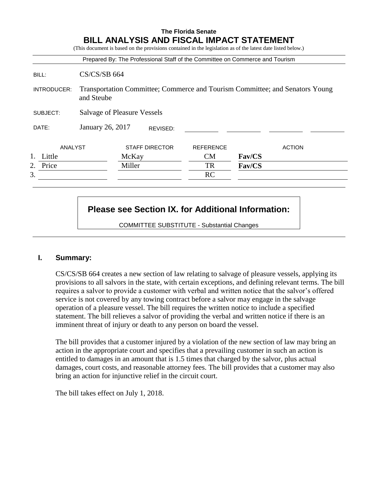|             |                                                                                            |        |                       | Prepared By: The Professional Staff of the Committee on Commerce and Tourism |               |               |
|-------------|--------------------------------------------------------------------------------------------|--------|-----------------------|------------------------------------------------------------------------------|---------------|---------------|
| BILL:       | $CS/CS/SB$ 664                                                                             |        |                       |                                                                              |               |               |
| INTRODUCER: | Transportation Committee; Commerce and Tourism Committee; and Senators Young<br>and Steube |        |                       |                                                                              |               |               |
| SUBJECT:    | <b>Salvage of Pleasure Vessels</b>                                                         |        |                       |                                                                              |               |               |
| DATE:       | January 26, 2017<br>REVISED:                                                               |        |                       |                                                                              |               |               |
| ANALYST     |                                                                                            |        | <b>STAFF DIRECTOR</b> | <b>REFERENCE</b>                                                             |               | <b>ACTION</b> |
| Little      |                                                                                            | McKay  |                       | <b>CM</b>                                                                    | <b>Fav/CS</b> |               |
| Price<br>2. |                                                                                            | Miller |                       | TR                                                                           | Fav/CS        |               |
| 3.          |                                                                                            |        |                       | RC                                                                           |               |               |

# **Please see Section IX. for Additional Information:**

COMMITTEE SUBSTITUTE - Substantial Changes

#### **I. Summary:**

CS/CS/SB 664 creates a new section of law relating to salvage of pleasure vessels, applying its provisions to all salvors in the state, with certain exceptions, and defining relevant terms. The bill requires a salvor to provide a customer with verbal and written notice that the salvor's offered service is not covered by any towing contract before a salvor may engage in the salvage operation of a pleasure vessel. The bill requires the written notice to include a specified statement. The bill relieves a salvor of providing the verbal and written notice if there is an imminent threat of injury or death to any person on board the vessel.

The bill provides that a customer injured by a violation of the new section of law may bring an action in the appropriate court and specifies that a prevailing customer in such an action is entitled to damages in an amount that is 1.5 times that charged by the salvor, plus actual damages, court costs, and reasonable attorney fees. The bill provides that a customer may also bring an action for injunctive relief in the circuit court.

The bill takes effect on July 1, 2018.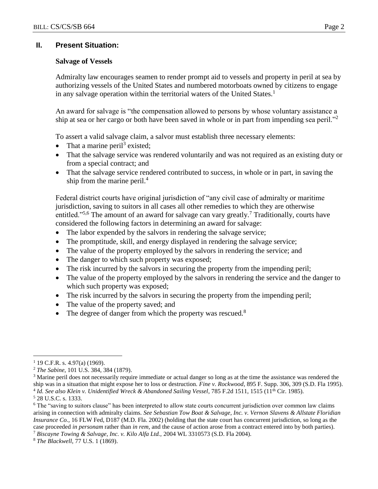# **II. Present Situation:**

### **Salvage of Vessels**

Admiralty law encourages seamen to render prompt aid to vessels and property in peril at sea by authorizing vessels of the United States and numbered motorboats owned by citizens to engage in any salvage operation within the territorial waters of the United States.<sup>1</sup>

An award for salvage is "the compensation allowed to persons by whose voluntary assistance a ship at sea or her cargo or both have been saved in whole or in part from impending sea peril."<sup>2</sup>

To assert a valid salvage claim, a salvor must establish three necessary elements:

- That a marine peril<sup>3</sup> existed;
- That the salvage service was rendered voluntarily and was not required as an existing duty or from a special contract; and
- That the salvage service rendered contributed to success, in whole or in part, in saving the ship from the marine peril.<sup>4</sup>

Federal district courts have original jurisdiction of "any civil case of admiralty or maritime jurisdiction, saving to suitors in all cases all other remedies to which they are otherwise entitled."<sup>5,6</sup> The amount of an award for salvage can vary greatly.<sup>7</sup> Traditionally, courts have considered the following factors in determining an award for salvage:

- The labor expended by the salvors in rendering the salvage service;
- The promptitude, skill, and energy displayed in rendering the salvage service;
- The value of the property employed by the salvors in rendering the service; and
- The danger to which such property was exposed;
- The risk incurred by the salvors in securing the property from the impending peril;
- The value of the property employed by the salvors in rendering the service and the danger to which such property was exposed;
- The risk incurred by the salvors in securing the property from the impending peril;
- The value of the property saved; and
- The degree of danger from which the property was rescued.<sup>8</sup>

<sup>5</sup> 28 U.S.C. s. 1333.

<sup>7</sup> *Biscayne Towing & Salvage, Inc. v. Kilo Alfa Ltd.,* 2004 WL 3310573 (S.D. Fla 2004).

 $\overline{a}$  $1$  19 C.F.R. s. 4.97(a) (1969).

<sup>2</sup> *The Sabine*, 101 U.S. 384, 384 (1879).

<sup>&</sup>lt;sup>3</sup> Marine peril does not necessarily require immediate or actual danger so long as at the time the assistance was rendered the ship was in a situation that might expose her to loss or destruction. *Fine v. Rockwood*, 895 F. Supp. 306, 309 (S.D. Fla 1995). <sup>4</sup> Id. See also Klein v. Unidentified Wreck & Abandoned Sailing Vessel, 785 F.2d 1511, 1515 (11<sup>th</sup> Cir. 1985).

<sup>&</sup>lt;sup>6</sup> The "saving to suitors clause" has been interpreted to allow state courts concurrent jurisdiction over common law claims arising in connection with admiralty claims. *See Sebastian Tow Boat & Salvage, Inc. v. Vernon Slavens & Allstate Floridian Insurance Co.,* 16 FLW Fed, D187 (M.D. Fla. 2002) (holding that the state court has concurrent jurisdiction, so long as the case proceeded *in personam* rather than *in rem,* and the cause of action arose from a contract entered into by both parties).

<sup>8</sup> *The Blackwell*, 77 U.S. 1 (1869).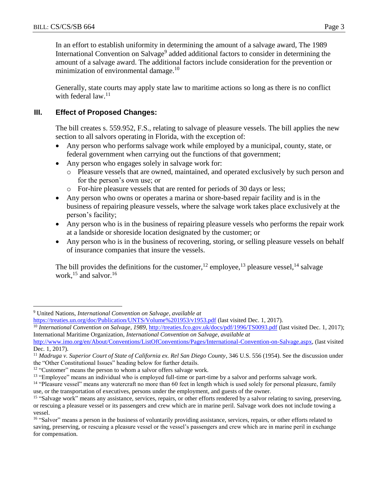$\overline{a}$ 

In an effort to establish uniformity in determining the amount of a salvage award, The 1989 International Convention on Salvage<sup>9</sup> added additional factors to consider in determining the amount of a salvage award. The additional factors include consideration for the prevention or minimization of environmental damage.<sup>10</sup>

Generally, state courts may apply state law to maritime actions so long as there is no conflict with federal law.<sup>11</sup>

# **III. Effect of Proposed Changes:**

The bill creates s. 559.952, F.S., relating to salvage of pleasure vessels. The bill applies the new section to all salvors operating in Florida, with the exception of:

- Any person who performs salvage work while employed by a municipal, county, state, or federal government when carrying out the functions of that government;
- Any person who engages solely in salvage work for:
	- o Pleasure vessels that are owned, maintained, and operated exclusively by such person and for the person's own use; or
	- o For-hire pleasure vessels that are rented for periods of 30 days or less;
- Any person who owns or operates a marina or shore-based repair facility and is in the business of repairing pleasure vessels, where the salvage work takes place exclusively at the person's facility;
- Any person who is in the business of repairing pleasure vessels who performs the repair work at a landside or shoreside location designated by the customer; or
- Any person who is in the business of recovering, storing, or selling pleasure vessels on behalf of insurance companies that insure the vessels.

The bill provides the definitions for the customer,<sup>12</sup> employee,<sup>13</sup> pleasure vessel,<sup>14</sup> salvage work,<sup>15</sup> and salvor.<sup>16</sup>

<sup>9</sup> United Nations, *International Convention on Salvage*, *available at* 

[https://treaties.un.org/doc/Publication/UNTS/Volume%201953/v1953.pdf](https://treaties.un.org/doc/Publication/UNTS/Volume%201953/v1953.pdf,) (last visited Dec. 1, 2017).

<sup>&</sup>lt;sup>10</sup> *International Convention on Salvage, 1989*,<http://treaties.fco.gov.uk/docs/pdf/1996/TS0093.pdf> (last visited Dec. 1, 2017); International Maritime Organization, *International Convention on Salvage*, *available at*

[http://www.imo.org/en/About/Conventions/ListOfConventions/Pages/International-Convention-on-Salvage.aspx,](http://www.imo.org/en/About/Conventions/ListOfConventions/Pages/International-Convention-on-Salvage.aspx) (last visited Dec. 1, 2017).

<sup>&</sup>lt;sup>11</sup> Madruga v. Superior Court of State of California ex. Rel San Diego County, 346 U.S. 556 (1954). See the discussion under the "Other Constitutional Issues" heading below for further details.

<sup>&</sup>lt;sup>12</sup> "Customer" means the person to whom a salvor offers salvage work.

<sup>&</sup>lt;sup>13</sup> "Employee" means an individual who is employed full-time or part-time by a salvor and performs salvage work.

<sup>&</sup>lt;sup>14</sup> "Pleasure vessel" means any watercraft no more than 60 feet in length which is used solely for personal pleasure, family use, or the transportation of executives, persons under the employment, and guests of the owner.

<sup>&</sup>lt;sup>15</sup> "Salvage work" means any assistance, services, repairs, or other efforts rendered by a salvor relating to saving, preserving, or rescuing a pleasure vessel or its passengers and crew which are in marine peril. Salvage work does not include towing a vessel.

<sup>&</sup>lt;sup>16</sup> "Salvor" means a person in the business of voluntarily providing assistance, services, repairs, or other efforts related to saving, preserving, or rescuing a pleasure vessel or the vessel's passengers and crew which are in marine peril in exchange for compensation.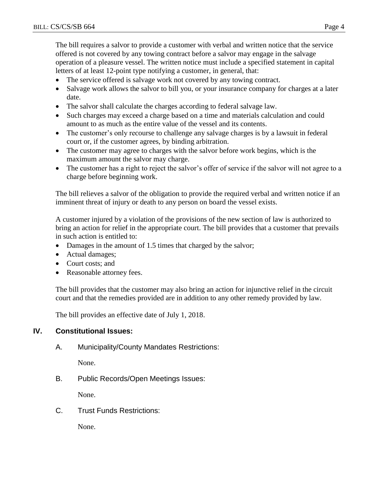The bill requires a salvor to provide a customer with verbal and written notice that the service offered is not covered by any towing contract before a salvor may engage in the salvage operation of a pleasure vessel. The written notice must include a specified statement in capital letters of at least 12-point type notifying a customer, in general, that:

- The service offered is salvage work not covered by any towing contract.
- Salvage work allows the salvor to bill you, or your insurance company for charges at a later date.
- The salvor shall calculate the charges according to federal salvage law.
- Such charges may exceed a charge based on a time and materials calculation and could amount to as much as the entire value of the vessel and its contents.
- The customer's only recourse to challenge any salvage charges is by a lawsuit in federal court or, if the customer agrees, by binding arbitration.
- The customer may agree to charges with the salvor before work begins, which is the maximum amount the salvor may charge.
- The customer has a right to reject the salvor's offer of service if the salvor will not agree to a charge before beginning work.

The bill relieves a salvor of the obligation to provide the required verbal and written notice if an imminent threat of injury or death to any person on board the vessel exists.

A customer injured by a violation of the provisions of the new section of law is authorized to bring an action for relief in the appropriate court. The bill provides that a customer that prevails in such action is entitled to:

- Damages in the amount of 1.5 times that charged by the salvor;
- Actual damages;
- Court costs; and
- Reasonable attorney fees.

The bill provides that the customer may also bring an action for injunctive relief in the circuit court and that the remedies provided are in addition to any other remedy provided by law.

The bill provides an effective date of July 1, 2018.

# **IV. Constitutional Issues:**

A. Municipality/County Mandates Restrictions:

None.

B. Public Records/Open Meetings Issues:

None.

C. Trust Funds Restrictions:

None.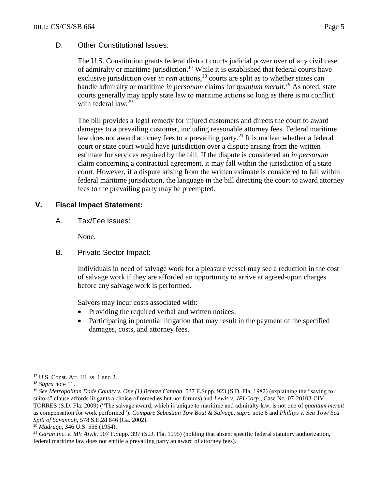### D. Other Constitutional Issues:

The U.S. Constitution grants federal district courts judicial power over of any civil case of admiralty or maritime jurisdiction.<sup>17</sup> While it is established that federal courts have exclusive jurisdiction over *in rem* actions,<sup>18</sup> courts are split as to whether states can handle admiralty or maritime *in personam* claims for *quantum meruit. <sup>19</sup>* As noted, state courts generally may apply state law to maritime actions so long as there is no conflict with federal law.<sup>20</sup>

The bill provides a legal remedy for injured customers and directs the court to award damages to a prevailing customer, including reasonable attorney fees. Federal maritime law does not award attorney fees to a prevailing party.<sup>21</sup> It is unclear whether a federal court or state court would have jurisdiction over a dispute arising from the written estimate for services required by the bill. If the dispute is considered an *in personam* claim concerning a contractual agreement, it may fall within the jurisdiction of a state court. However, if a dispute arising from the written estimate is considered to fall within federal maritime jurisdiction, the language in the bill directing the court to award attorney fees to the prevailing party may be preempted.

### **V. Fiscal Impact Statement:**

A. Tax/Fee Issues:

None.

B. Private Sector Impact:

Individuals in need of salvage work for a pleasure vessel may see a reduction in the cost of salvage work if they are afforded an opportunity to arrive at agreed-upon charges before any salvage work is performed.

Salvors may incur costs associated with:

- Providing the required verbal and written notices.
- Participating in potential litigation that may result in the payment of the specified damages, costs, and attorney fees.

 $\overline{a}$ 

<sup>17</sup> U.S. Const. Art. III, ss. 1 and 2.

<sup>18</sup> *Supra* note 11.

<sup>&</sup>lt;sup>19</sup> See Metropolitan Dade County v. One (1) Bronze Cannon, 537 F.Supp. 923 (S.D. Fla. 1982) (explaining the "saving to suitors" clause affords litigants a choice of remedies but not forums) and *Lewis v. JPI Corp.*, Case No. 07-20103-CIV-TORRES (S.D. Fla. 2009) ("The salvage award, which is unique to maritime and admiralty law, is not one of *quantum meruit* as compensation for work performed"). *Compare Sebastian Tow Boat & Salvage, supra* note 6 and *Phillips v. Sea Tow/ Sea Spill of Savannah,* 578 S.E.2d 846 (Ga. 2002).

<sup>20</sup> *Madruga*, 346 U.S. 556 (1954).

<sup>21</sup> *Garan Inc. v. MV Aivik*, 907 F.Supp. 397 (S.D. Fla. 1995) (holding that absent specific federal statutory authorization, federal maritime law does not entitle a prevailing party an award of attorney fees).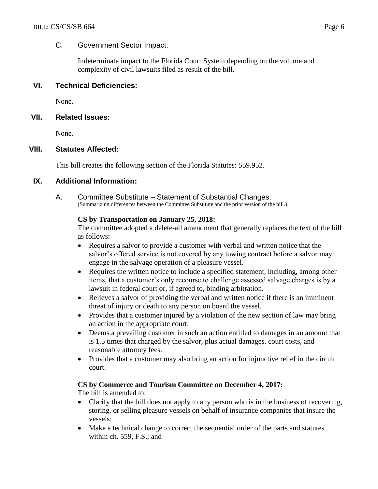## C. Government Sector Impact:

Indeterminate impact to the Florida Court System depending on the volume and complexity of civil lawsuits filed as result of the bill.

## **VI. Technical Deficiencies:**

None.

### **VII. Related Issues:**

None.

### **VIII. Statutes Affected:**

This bill creates the following section of the Florida Statutes: 559.952.

### **IX. Additional Information:**

A. Committee Substitute – Statement of Substantial Changes: (Summarizing differences between the Committee Substitute and the prior version of the bill.)

#### **CS by Transportation on January 25, 2018:**

The committee adopted a delete-all amendment that generally replaces the text of the bill as follows:

- Requires a salvor to provide a customer with verbal and written notice that the salvor's offered service is not covered by any towing contract before a salvor may engage in the salvage operation of a pleasure vessel.
- Requires the written notice to include a specified statement, including, among other items, that a customer's only recourse to challenge assessed salvage charges is by a lawsuit in federal court or, if agreed to, binding arbitration.
- Relieves a salvor of providing the verbal and written notice if there is an imminent threat of injury or death to any person on board the vessel.
- Provides that a customer injured by a violation of the new section of law may bring an action in the appropriate court.
- Deems a prevailing customer in such an action entitled to damages in an amount that is 1.5 times that charged by the salvor, plus actual damages, court costs, and reasonable attorney fees.
- Provides that a customer may also bring an action for injunctive relief in the circuit court.

#### **CS by Commerce and Tourism Committee on December 4, 2017:**

The bill is amended to:

- Clarify that the bill does not apply to any person who is in the business of recovering, storing, or selling pleasure vessels on behalf of insurance companies that insure the vessels;
- Make a technical change to correct the sequential order of the parts and statutes within ch. 559, F.S.; and